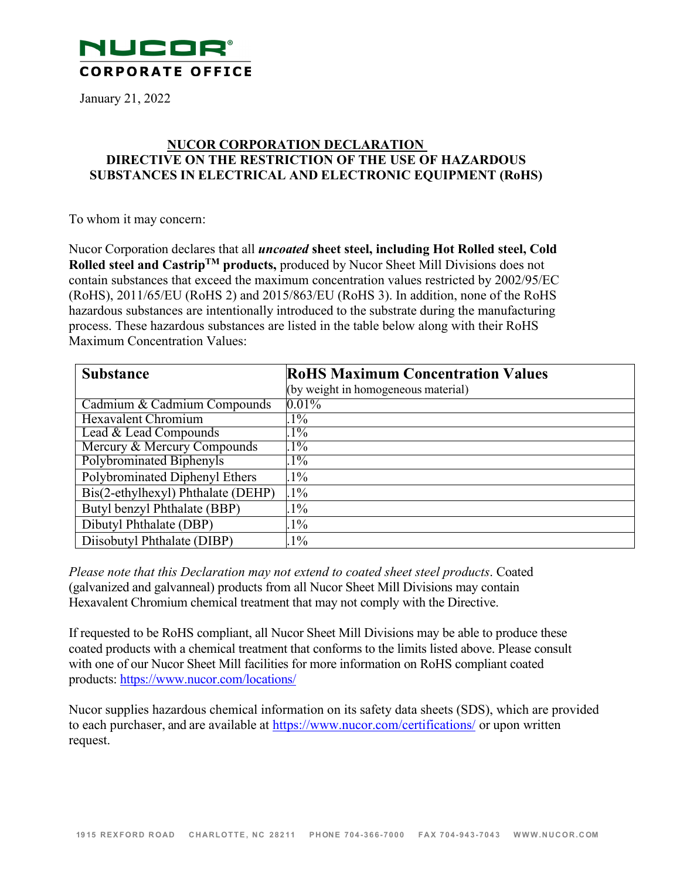

January 21, 2022

## **NUCOR CORPORATION DECLARATION DIRECTIVE ON THE RESTRICTION OF THE USE OF HAZARDOUS SUBSTANCES IN ELECTRICAL AND ELECTRONIC EQUIPMENT (RoHS)**

To whom it may concern:

Nucor Corporation declares that all *uncoated* **sheet steel, including Hot Rolled steel, Cold Rolled steel and CastripTM products,** produced by Nucor Sheet Mill Divisions does not contain substances that exceed the maximum concentration values restricted by 2002/95/EC (RoHS), 2011/65/EU (RoHS 2) and 2015/863/EU (RoHS 3). In addition, none of the RoHS hazardous substances are intentionally introduced to the substrate during the manufacturing process. These hazardous substances are listed in the table below along with their RoHS Maximum Concentration Values:

| <b>Substance</b>                   | <b>RoHS Maximum Concentration Values</b> |
|------------------------------------|------------------------------------------|
|                                    | (by weight in homogeneous material)      |
| Cadmium & Cadmium Compounds        | $0.01\%$                                 |
| <b>Hexavalent Chromium</b>         | $1\%$                                    |
| Lead & Lead Compounds              | $1\%$                                    |
| Mercury & Mercury Compounds        | $.1\%$                                   |
| Polybrominated Biphenyls           | $1\%$                                    |
| Polybrominated Diphenyl Ethers     | $1\%$                                    |
| Bis(2-ethylhexyl) Phthalate (DEHP) | $.1\%$                                   |
| Butyl benzyl Phthalate (BBP)       | $1\%$                                    |
| Dibutyl Phthalate (DBP)            | $1\%$                                    |
| Diisobutyl Phthalate (DIBP)        | $1\%$                                    |

*Please note that this Declaration may not extend to coated sheet steel products*. Coated (galvanized and galvanneal) products from all Nucor Sheet Mill Divisions may contain Hexavalent Chromium chemical treatment that may not comply with the Directive.

If requested to be RoHS compliant, all Nucor Sheet Mill Divisions may be able to produce these coated products with a chemical treatment that conforms to the limits listed above. Please consult with one of our Nucor Sheet Mill facilities for more information on RoHS compliant coated products: <https://www.nucor.com/locations/>

Nucor supplies hazardous chemical information on its safety data sheets (SDS), which are provided to each purchaser, and are available at https:/[/www.nucor.com/certifications/](http://www.nucor.com/certifications/) or upon written request.